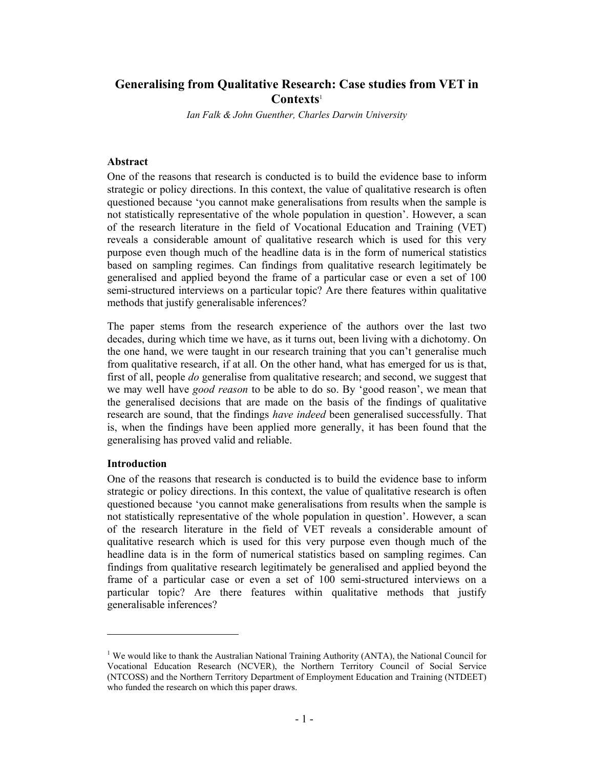# **Generalising from Qualitative Research: Case studies from VET in Contexts**<sup>1</sup>

*Ian Falk & John Guenther, Charles Darwin University* 

#### **Abstract**

One of the reasons that research is conducted is to build the evidence base to inform strategic or policy directions. In this context, the value of qualitative research is often questioned because 'you cannot make generalisations from results when the sample is not statistically representative of the whole population in question'. However, a scan of the research literature in the field of Vocational Education and Training (VET) reveals a considerable amount of qualitative research which is used for this very purpose even though much of the headline data is in the form of numerical statistics based on sampling regimes. Can findings from qualitative research legitimately be generalised and applied beyond the frame of a particular case or even a set of 100 semi-structured interviews on a particular topic? Are there features within qualitative methods that justify generalisable inferences?

The paper stems from the research experience of the authors over the last two decades, during which time we have, as it turns out, been living with a dichotomy. On the one hand, we were taught in our research training that you can't generalise much from qualitative research, if at all. On the other hand, what has emerged for us is that, first of all, people *do* generalise from qualitative research; and second, we suggest that we may well have *good reason* to be able to do so. By 'good reason', we mean that the generalised decisions that are made on the basis of the findings of qualitative research are sound, that the findings *have indeed* been generalised successfully. That is, when the findings have been applied more generally, it has been found that the generalising has proved valid and reliable.

### **Introduction**

 $\overline{a}$ 

One of the reasons that research is conducted is to build the evidence base to inform strategic or policy directions. In this context, the value of qualitative research is often questioned because 'you cannot make generalisations from results when the sample is not statistically representative of the whole population in question'. However, a scan of the research literature in the field of VET reveals a considerable amount of qualitative research which is used for this very purpose even though much of the headline data is in the form of numerical statistics based on sampling regimes. Can findings from qualitative research legitimately be generalised and applied beyond the frame of a particular case or even a set of 100 semi-structured interviews on a particular topic? Are there features within qualitative methods that justify generalisable inferences?

<sup>&</sup>lt;sup>1</sup> We would like to thank the Australian National Training Authority (ANTA), the National Council for Vocational Education Research (NCVER), the Northern Territory Council of Social Service (NTCOSS) and the Northern Territory Department of Employment Education and Training (NTDEET) who funded the research on which this paper draws.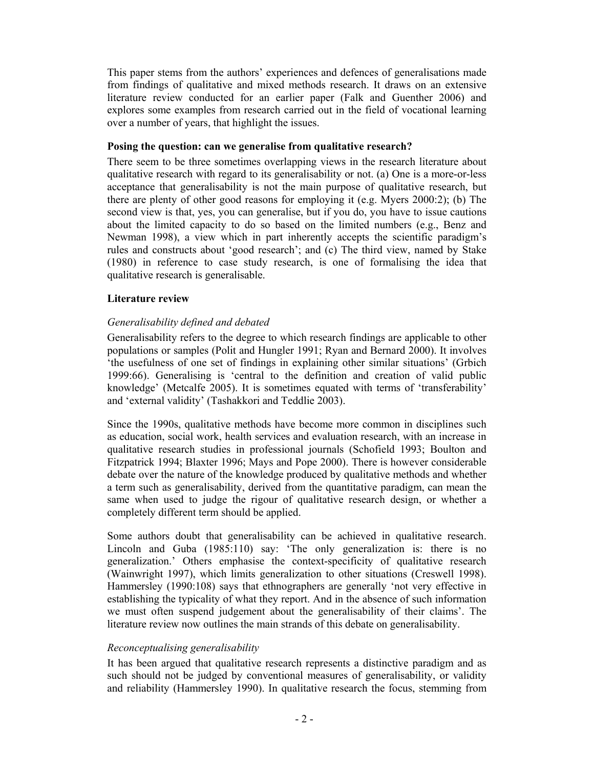This paper stems from the authors' experiences and defences of generalisations made from findings of qualitative and mixed methods research. It draws on an extensive literature review conducted for an earlier paper (Falk and Guenther 2006) and explores some examples from research carried out in the field of vocational learning over a number of years, that highlight the issues.

### **Posing the question: can we generalise from qualitative research?**

There seem to be three sometimes overlapping views in the research literature about qualitative research with regard to its generalisability or not. (a) One is a more-or-less acceptance that generalisability is not the main purpose of qualitative research, but there are plenty of other good reasons for employing it (e.g. Myers 2000:2); (b) The second view is that, yes, you can generalise, but if you do, you have to issue cautions about the limited capacity to do so based on the limited numbers (e.g., Benz and Newman 1998), a view which in part inherently accepts the scientific paradigm's rules and constructs about 'good research'; and (c) The third view, named by Stake (1980) in reference to case study research, is one of formalising the idea that qualitative research is generalisable.

## **Literature review**

## *Generalisability defined and debated*

Generalisability refers to the degree to which research findings are applicable to other populations or samples (Polit and Hungler 1991; Ryan and Bernard 2000). It involves 'the usefulness of one set of findings in explaining other similar situations' (Grbich 1999:66). Generalising is 'central to the definition and creation of valid public knowledge' (Metcalfe 2005). It is sometimes equated with terms of 'transferability' and 'external validity' (Tashakkori and Teddlie 2003).

Since the 1990s, qualitative methods have become more common in disciplines such as education, social work, health services and evaluation research, with an increase in qualitative research studies in professional journals (Schofield 1993; Boulton and Fitzpatrick 1994; Blaxter 1996; Mays and Pope 2000). There is however considerable debate over the nature of the knowledge produced by qualitative methods and whether a term such as generalisability, derived from the quantitative paradigm, can mean the same when used to judge the rigour of qualitative research design, or whether a completely different term should be applied.

Some authors doubt that generalisability can be achieved in qualitative research. Lincoln and Guba (1985:110) say: 'The only generalization is: there is no generalization.' Others emphasise the context-specificity of qualitative research (Wainwright 1997), which limits generalization to other situations (Creswell 1998). Hammersley (1990:108) says that ethnographers are generally 'not very effective in establishing the typicality of what they report. And in the absence of such information we must often suspend judgement about the generalisability of their claims'. The literature review now outlines the main strands of this debate on generalisability.

## *Reconceptualising generalisability*

It has been argued that qualitative research represents a distinctive paradigm and as such should not be judged by conventional measures of generalisability, or validity and reliability (Hammersley 1990). In qualitative research the focus, stemming from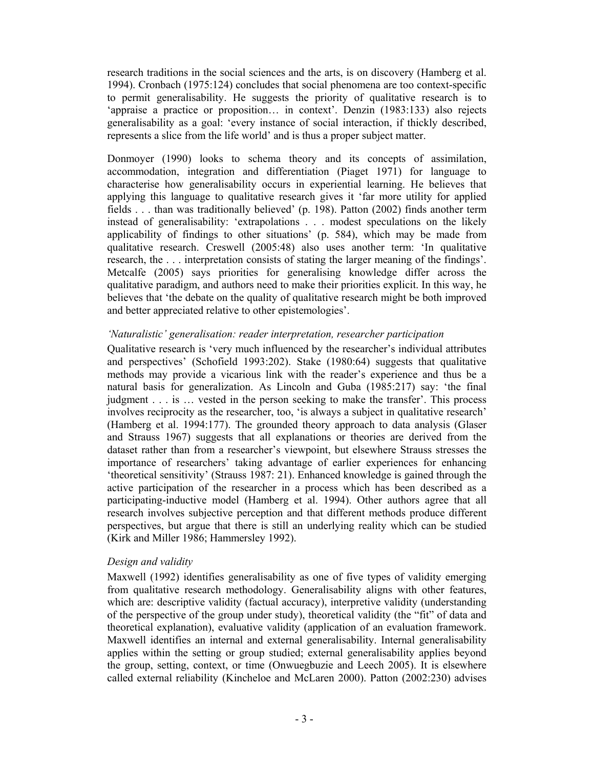research traditions in the social sciences and the arts, is on discovery (Hamberg et al. 1994). Cronbach (1975:124) concludes that social phenomena are too context-specific to permit generalisability. He suggests the priority of qualitative research is to 'appraise a practice or proposition… in context'. Denzin (1983:133) also rejects generalisability as a goal: 'every instance of social interaction, if thickly described, represents a slice from the life world' and is thus a proper subject matter.

Donmoyer (1990) looks to schema theory and its concepts of assimilation, accommodation, integration and differentiation (Piaget 1971) for language to characterise how generalisability occurs in experiential learning. He believes that applying this language to qualitative research gives it 'far more utility for applied fields . . . than was traditionally believed' (p. 198). Patton (2002) finds another term instead of generalisability: 'extrapolations . . . modest speculations on the likely applicability of findings to other situations' (p. 584), which may be made from qualitative research. Creswell (2005:48) also uses another term: 'In qualitative research, the . . . interpretation consists of stating the larger meaning of the findings'. Metcalfe (2005) says priorities for generalising knowledge differ across the qualitative paradigm, and authors need to make their priorities explicit. In this way, he believes that 'the debate on the quality of qualitative research might be both improved and better appreciated relative to other epistemologies'.

### *'Naturalistic' generalisation: reader interpretation, researcher participation*

Qualitative research is 'very much influenced by the researcher's individual attributes and perspectives' (Schofield 1993:202). Stake (1980:64) suggests that qualitative methods may provide a vicarious link with the reader's experience and thus be a natural basis for generalization. As Lincoln and Guba (1985:217) say: 'the final judgment . . . is … vested in the person seeking to make the transfer'. This process involves reciprocity as the researcher, too, 'is always a subject in qualitative research' (Hamberg et al. 1994:177). The grounded theory approach to data analysis (Glaser and Strauss 1967) suggests that all explanations or theories are derived from the dataset rather than from a researcher's viewpoint, but elsewhere Strauss stresses the importance of researchers' taking advantage of earlier experiences for enhancing 'theoretical sensitivity' (Strauss 1987: 21). Enhanced knowledge is gained through the active participation of the researcher in a process which has been described as a participating-inductive model (Hamberg et al. 1994). Other authors agree that all research involves subjective perception and that different methods produce different perspectives, but argue that there is still an underlying reality which can be studied (Kirk and Miller 1986; Hammersley 1992).

## *Design and validity*

Maxwell (1992) identifies generalisability as one of five types of validity emerging from qualitative research methodology. Generalisability aligns with other features, which are: descriptive validity (factual accuracy), interpretive validity (understanding of the perspective of the group under study), theoretical validity (the "fit" of data and theoretical explanation), evaluative validity (application of an evaluation framework. Maxwell identifies an internal and external generalisability. Internal generalisability applies within the setting or group studied; external generalisability applies beyond the group, setting, context, or time (Onwuegbuzie and Leech 2005). It is elsewhere called external reliability (Kincheloe and McLaren 2000). Patton (2002:230) advises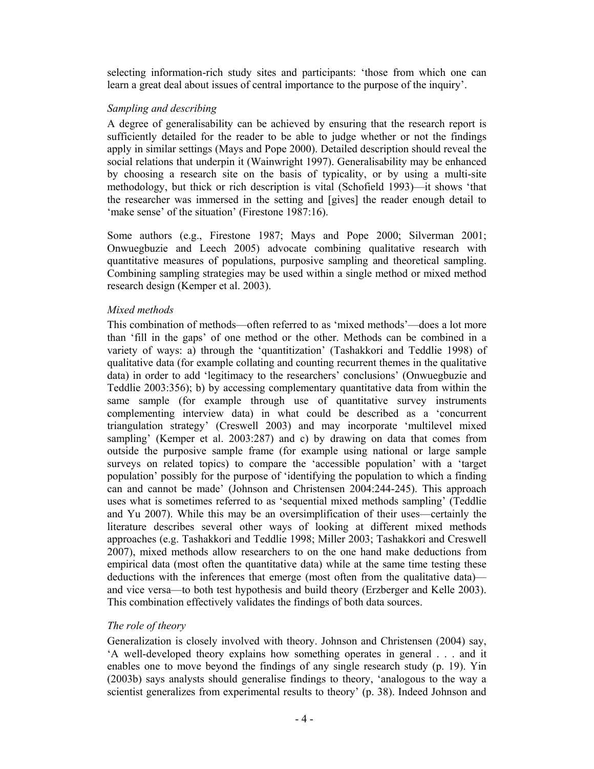selecting information-rich study sites and participants: 'those from which one can learn a great deal about issues of central importance to the purpose of the inquiry'.

### *Sampling and describing*

A degree of generalisability can be achieved by ensuring that the research report is sufficiently detailed for the reader to be able to judge whether or not the findings apply in similar settings (Mays and Pope 2000). Detailed description should reveal the social relations that underpin it (Wainwright 1997). Generalisability may be enhanced by choosing a research site on the basis of typicality, or by using a multi-site methodology, but thick or rich description is vital (Schofield 1993)—it shows 'that the researcher was immersed in the setting and [gives] the reader enough detail to 'make sense' of the situation' (Firestone 1987:16).

Some authors (e.g., Firestone 1987; Mays and Pope 2000; Silverman 2001; Onwuegbuzie and Leech 2005) advocate combining qualitative research with quantitative measures of populations, purposive sampling and theoretical sampling. Combining sampling strategies may be used within a single method or mixed method research design (Kemper et al. 2003).

### *Mixed methods*

This combination of methods—often referred to as 'mixed methods'—does a lot more than 'fill in the gaps' of one method or the other. Methods can be combined in a variety of ways: a) through the 'quantitization' (Tashakkori and Teddlie 1998) of qualitative data (for example collating and counting recurrent themes in the qualitative data) in order to add 'legitimacy to the researchers' conclusions' (Onwuegbuzie and Teddlie 2003:356); b) by accessing complementary quantitative data from within the same sample (for example through use of quantitative survey instruments complementing interview data) in what could be described as a 'concurrent triangulation strategy' (Creswell 2003) and may incorporate 'multilevel mixed sampling' (Kemper et al. 2003:287) and c) by drawing on data that comes from outside the purposive sample frame (for example using national or large sample surveys on related topics) to compare the 'accessible population' with a 'target population' possibly for the purpose of 'identifying the population to which a finding can and cannot be made' (Johnson and Christensen 2004:244-245). This approach uses what is sometimes referred to as 'sequential mixed methods sampling' (Teddlie and Yu 2007). While this may be an oversimplification of their uses—certainly the literature describes several other ways of looking at different mixed methods approaches (e.g. Tashakkori and Teddlie 1998; Miller 2003; Tashakkori and Creswell 2007), mixed methods allow researchers to on the one hand make deductions from empirical data (most often the quantitative data) while at the same time testing these deductions with the inferences that emerge (most often from the qualitative data) and vice versa—to both test hypothesis and build theory (Erzberger and Kelle 2003). This combination effectively validates the findings of both data sources.

## *The role of theory*

Generalization is closely involved with theory. Johnson and Christensen (2004) say, 'A well-developed theory explains how something operates in general . . . and it enables one to move beyond the findings of any single research study (p. 19). Yin (2003b) says analysts should generalise findings to theory, 'analogous to the way a scientist generalizes from experimental results to theory' (p. 38). Indeed Johnson and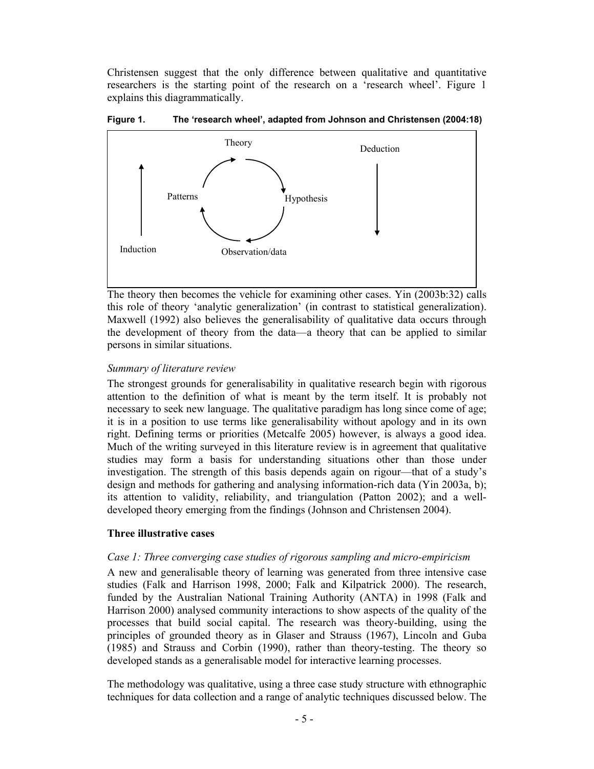Christensen suggest that the only difference between qualitative and quantitative researchers is the starting point of the research on a 'research wheel'. Figure 1 explains this diagrammatically.



#### **Figure 1. The 'research wheel', adapted from Johnson and Christensen (2004:18)**

The theory then becomes the vehicle for examining other cases. Yin (2003b:32) calls this role of theory 'analytic generalization' (in contrast to statistical generalization). Maxwell (1992) also believes the generalisability of qualitative data occurs through the development of theory from the data—a theory that can be applied to similar persons in similar situations.

#### *Summary of literature review*

The strongest grounds for generalisability in qualitative research begin with rigorous attention to the definition of what is meant by the term itself. It is probably not necessary to seek new language. The qualitative paradigm has long since come of age; it is in a position to use terms like generalisability without apology and in its own right. Defining terms or priorities (Metcalfe 2005) however, is always a good idea. Much of the writing surveyed in this literature review is in agreement that qualitative studies may form a basis for understanding situations other than those under investigation. The strength of this basis depends again on rigour—that of a study's design and methods for gathering and analysing information-rich data (Yin 2003a, b); its attention to validity, reliability, and triangulation (Patton 2002); and a welldeveloped theory emerging from the findings (Johnson and Christensen 2004).

### **Three illustrative cases**

#### *Case 1: Three converging case studies of rigorous sampling and micro-empiricism*

A new and generalisable theory of learning was generated from three intensive case studies (Falk and Harrison 1998, 2000; Falk and Kilpatrick 2000). The research, funded by the Australian National Training Authority (ANTA) in 1998 (Falk and Harrison 2000) analysed community interactions to show aspects of the quality of the processes that build social capital. The research was theory-building, using the principles of grounded theory as in Glaser and Strauss (1967), Lincoln and Guba (1985) and Strauss and Corbin (1990), rather than theory-testing. The theory so developed stands as a generalisable model for interactive learning processes.

The methodology was qualitative, using a three case study structure with ethnographic techniques for data collection and a range of analytic techniques discussed below. The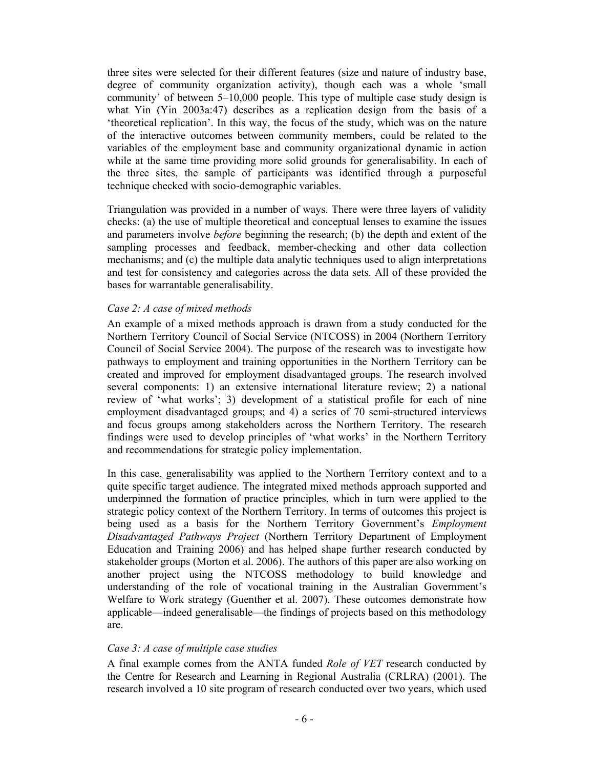three sites were selected for their different features (size and nature of industry base, degree of community organization activity), though each was a whole 'small community' of between 5–10,000 people. This type of multiple case study design is what Yin (Yin 2003a:47) describes as a replication design from the basis of a 'theoretical replication'. In this way, the focus of the study, which was on the nature of the interactive outcomes between community members, could be related to the variables of the employment base and community organizational dynamic in action while at the same time providing more solid grounds for generalisability. In each of the three sites, the sample of participants was identified through a purposeful technique checked with socio-demographic variables.

Triangulation was provided in a number of ways. There were three layers of validity checks: (a) the use of multiple theoretical and conceptual lenses to examine the issues and parameters involve *before* beginning the research; (b) the depth and extent of the sampling processes and feedback, member-checking and other data collection mechanisms; and (c) the multiple data analytic techniques used to align interpretations and test for consistency and categories across the data sets. All of these provided the bases for warrantable generalisability.

### *Case 2: A case of mixed methods*

An example of a mixed methods approach is drawn from a study conducted for the Northern Territory Council of Social Service (NTCOSS) in 2004 (Northern Territory Council of Social Service 2004). The purpose of the research was to investigate how pathways to employment and training opportunities in the Northern Territory can be created and improved for employment disadvantaged groups. The research involved several components: 1) an extensive international literature review; 2) a national review of 'what works'; 3) development of a statistical profile for each of nine employment disadvantaged groups; and 4) a series of 70 semi-structured interviews and focus groups among stakeholders across the Northern Territory. The research findings were used to develop principles of 'what works' in the Northern Territory and recommendations for strategic policy implementation.

In this case, generalisability was applied to the Northern Territory context and to a quite specific target audience. The integrated mixed methods approach supported and underpinned the formation of practice principles, which in turn were applied to the strategic policy context of the Northern Territory. In terms of outcomes this project is being used as a basis for the Northern Territory Government's *Employment Disadvantaged Pathways Project* (Northern Territory Department of Employment Education and Training 2006) and has helped shape further research conducted by stakeholder groups (Morton et al. 2006). The authors of this paper are also working on another project using the NTCOSS methodology to build knowledge and understanding of the role of vocational training in the Australian Government's Welfare to Work strategy (Guenther et al. 2007). These outcomes demonstrate how applicable—indeed generalisable—the findings of projects based on this methodology are.

### *Case 3: A case of multiple case studies*

A final example comes from the ANTA funded *Role of VET* research conducted by the Centre for Research and Learning in Regional Australia (CRLRA) (2001). The research involved a 10 site program of research conducted over two years, which used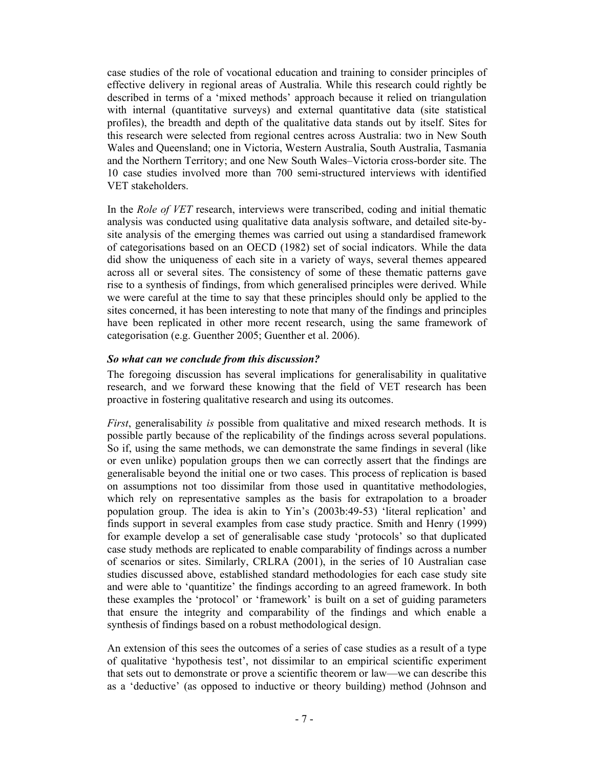case studies of the role of vocational education and training to consider principles of effective delivery in regional areas of Australia. While this research could rightly be described in terms of a 'mixed methods' approach because it relied on triangulation with internal (quantitative surveys) and external quantitative data (site statistical profiles), the breadth and depth of the qualitative data stands out by itself. Sites for this research were selected from regional centres across Australia: two in New South Wales and Queensland; one in Victoria, Western Australia, South Australia, Tasmania and the Northern Territory; and one New South Wales–Victoria cross-border site. The 10 case studies involved more than 700 semi-structured interviews with identified VET stakeholders.

In the *Role of VET* research, interviews were transcribed, coding and initial thematic analysis was conducted using qualitative data analysis software, and detailed site-bysite analysis of the emerging themes was carried out using a standardised framework of categorisations based on an OECD (1982) set of social indicators. While the data did show the uniqueness of each site in a variety of ways, several themes appeared across all or several sites. The consistency of some of these thematic patterns gave rise to a synthesis of findings, from which generalised principles were derived. While we were careful at the time to say that these principles should only be applied to the sites concerned, it has been interesting to note that many of the findings and principles have been replicated in other more recent research, using the same framework of categorisation (e.g. Guenther 2005; Guenther et al. 2006).

### *So what can we conclude from this discussion?*

The foregoing discussion has several implications for generalisability in qualitative research, and we forward these knowing that the field of VET research has been proactive in fostering qualitative research and using its outcomes.

*First*, generalisability *is* possible from qualitative and mixed research methods. It is possible partly because of the replicability of the findings across several populations. So if, using the same methods, we can demonstrate the same findings in several (like or even unlike) population groups then we can correctly assert that the findings are generalisable beyond the initial one or two cases. This process of replication is based on assumptions not too dissimilar from those used in quantitative methodologies, which rely on representative samples as the basis for extrapolation to a broader population group. The idea is akin to Yin's (2003b:49-53) 'literal replication' and finds support in several examples from case study practice. Smith and Henry (1999) for example develop a set of generalisable case study 'protocols' so that duplicated case study methods are replicated to enable comparability of findings across a number of scenarios or sites. Similarly, CRLRA (2001), in the series of 10 Australian case studies discussed above, established standard methodologies for each case study site and were able to 'quantitize' the findings according to an agreed framework. In both these examples the 'protocol' or 'framework' is built on a set of guiding parameters that ensure the integrity and comparability of the findings and which enable a synthesis of findings based on a robust methodological design.

An extension of this sees the outcomes of a series of case studies as a result of a type of qualitative 'hypothesis test', not dissimilar to an empirical scientific experiment that sets out to demonstrate or prove a scientific theorem or law—we can describe this as a 'deductive' (as opposed to inductive or theory building) method (Johnson and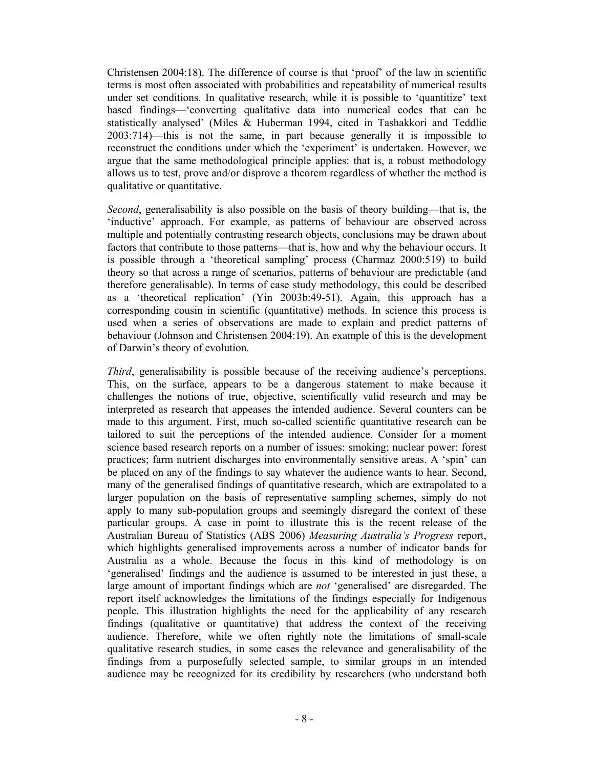Christensen 2004:18). The difference of course is that 'proof' of the law in scientific terms is most often associated with probabilities and repeatability of numerical results under set conditions. In qualitative research, while it is possible to 'quantitize' text based findings—'converting qualitative data into numerical codes that can be statistically analysed' (Miles & Huberman 1994, cited in Tashakkori and Teddlie 2003:714)—this is not the same, in part because generally it is impossible to reconstruct the conditions under which the 'experiment' is undertaken. However, we argue that the same methodological principle applies: that is, a robust methodology allows us to test, prove and/or disprove a theorem regardless of whether the method is qualitative or quantitative.

*Second*, generalisability is also possible on the basis of theory building—that is, the 'inductive' approach. For example, as patterns of behaviour are observed across multiple and potentially contrasting research objects, conclusions may be drawn about factors that contribute to those patterns—that is, how and why the behaviour occurs. It is possible through a 'theoretical sampling' process (Charmaz 2000:519) to build theory so that across a range of scenarios, patterns of behaviour are predictable (and therefore generalisable). In terms of case study methodology, this could be described as a 'theoretical replication' (Yin 2003b:49-51). Again, this approach has a corresponding cousin in scientific (quantitative) methods. In science this process is used when a series of observations are made to explain and predict patterns of behaviour (Johnson and Christensen 2004:19). An example of this is the development of Darwin's theory of evolution.

*Third*, generalisability is possible because of the receiving audience's perceptions. This, on the surface, appears to be a dangerous statement to make because it challenges the notions of true, objective, scientifically valid research and may be interpreted as research that appeases the intended audience. Several counters can be made to this argument. First, much so-called scientific quantitative research can be tailored to suit the perceptions of the intended audience. Consider for a moment science based research reports on a number of issues: smoking; nuclear power; forest practices; farm nutrient discharges into environmentally sensitive areas. A 'spin' can be placed on any of the findings to say whatever the audience wants to hear. Second, many of the generalised findings of quantitative research, which are extrapolated to a larger population on the basis of representative sampling schemes, simply do not apply to many sub-population groups and seemingly disregard the context of these particular groups. A case in point to illustrate this is the recent release of the Australian Bureau of Statistics (ABS 2006) *Measuring Australia's Progress* report, which highlights generalised improvements across a number of indicator bands for Australia as a whole. Because the focus in this kind of methodology is on 'generalised' findings and the audience is assumed to be interested in just these, a large amount of important findings which are *not* 'generalised' are disregarded. The report itself acknowledges the limitations of the findings especially for Indigenous people. This illustration highlights the need for the applicability of any research findings (qualitative or quantitative) that address the context of the receiving audience. Therefore, while we often rightly note the limitations of small-scale qualitative research studies, in some cases the relevance and generalisability of the findings from a purposefully selected sample, to similar groups in an intended audience may be recognized for its credibility by researchers (who understand both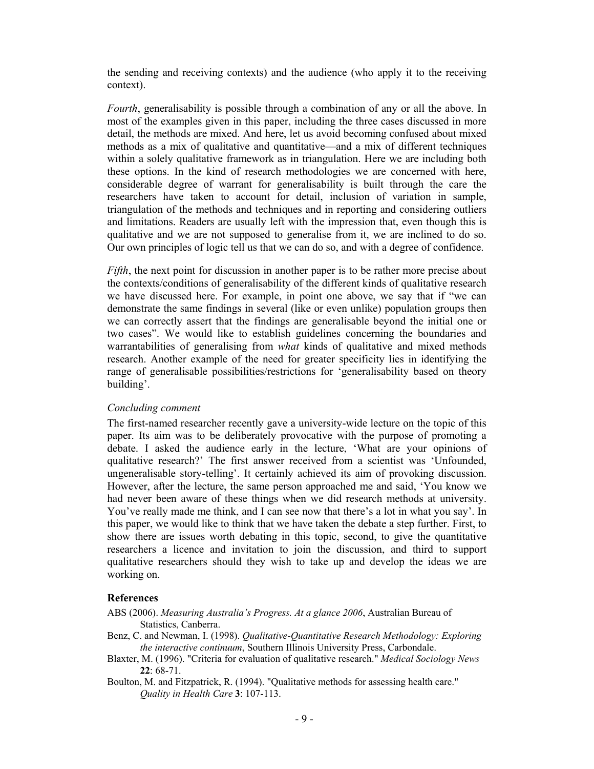the sending and receiving contexts) and the audience (who apply it to the receiving context).

*Fourth*, generalisability is possible through a combination of any or all the above. In most of the examples given in this paper, including the three cases discussed in more detail, the methods are mixed. And here, let us avoid becoming confused about mixed methods as a mix of qualitative and quantitative—and a mix of different techniques within a solely qualitative framework as in triangulation. Here we are including both these options. In the kind of research methodologies we are concerned with here, considerable degree of warrant for generalisability is built through the care the researchers have taken to account for detail, inclusion of variation in sample, triangulation of the methods and techniques and in reporting and considering outliers and limitations. Readers are usually left with the impression that, even though this is qualitative and we are not supposed to generalise from it, we are inclined to do so. Our own principles of logic tell us that we can do so, and with a degree of confidence.

*Fifth*, the next point for discussion in another paper is to be rather more precise about the contexts/conditions of generalisability of the different kinds of qualitative research we have discussed here. For example, in point one above, we say that if "we can demonstrate the same findings in several (like or even unlike) population groups then we can correctly assert that the findings are generalisable beyond the initial one or two cases". We would like to establish guidelines concerning the boundaries and warrantabilities of generalising from *what* kinds of qualitative and mixed methods research. Another example of the need for greater specificity lies in identifying the range of generalisable possibilities/restrictions for 'generalisability based on theory building'.

### *Concluding comment*

The first-named researcher recently gave a university-wide lecture on the topic of this paper. Its aim was to be deliberately provocative with the purpose of promoting a debate. I asked the audience early in the lecture, 'What are your opinions of qualitative research?' The first answer received from a scientist was 'Unfounded, ungeneralisable story-telling'. It certainly achieved its aim of provoking discussion. However, after the lecture, the same person approached me and said, 'You know we had never been aware of these things when we did research methods at university. You've really made me think, and I can see now that there's a lot in what you say'. In this paper, we would like to think that we have taken the debate a step further. First, to show there are issues worth debating in this topic, second, to give the quantitative researchers a licence and invitation to join the discussion, and third to support qualitative researchers should they wish to take up and develop the ideas we are working on.

### **References**

ABS (2006). *Measuring Australia's Progress. At a glance 2006*, Australian Bureau of Statistics, Canberra.

- Benz, C. and Newman, I. (1998). *Qualitative-Quantitative Research Methodology: Exploring the interactive continuum*, Southern Illinois University Press, Carbondale.
- Blaxter, M. (1996). "Criteria for evaluation of qualitative research." *Medical Sociology News* **22**: 68-71.
- Boulton, M. and Fitzpatrick, R. (1994). "Qualitative methods for assessing health care." *Quality in Health Care* **3**: 107-113.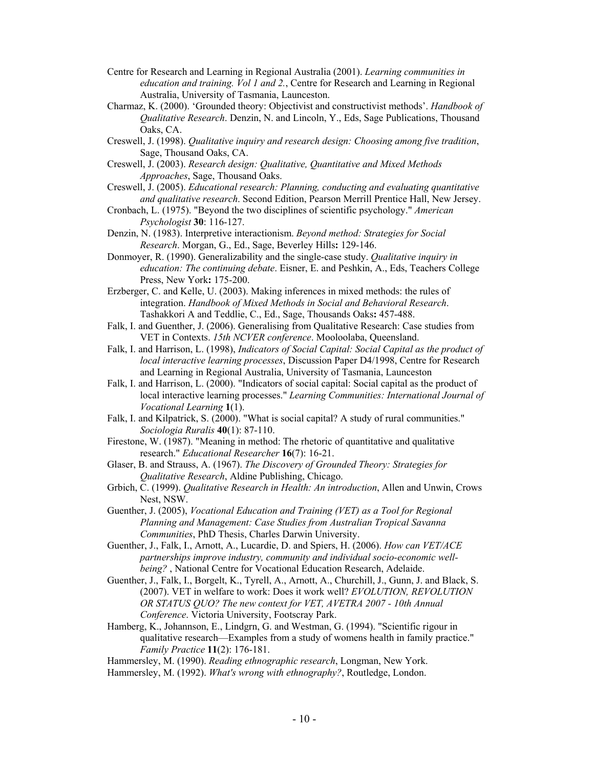- Centre for Research and Learning in Regional Australia (2001). *Learning communities in education and training. Vol 1 and 2.*, Centre for Research and Learning in Regional Australia, University of Tasmania, Launceston.
- Charmaz, K. (2000). 'Grounded theory: Objectivist and constructivist methods'. *Handbook of Qualitative Research*. Denzin, N. and Lincoln, Y., Eds, Sage Publications, Thousand Oaks, CA.
- Creswell, J. (1998). *Qualitative inquiry and research design: Choosing among five tradition*, Sage, Thousand Oaks, CA.
- Creswell, J. (2003). *Research design: Qualitative, Quantitative and Mixed Methods Approaches*, Sage, Thousand Oaks.
- Creswell, J. (2005). *Educational research: Planning, conducting and evaluating quantitative and qualitative research*. Second Edition, Pearson Merrill Prentice Hall, New Jersey.
- Cronbach, L. (1975). "Beyond the two disciplines of scientific psychology." *American Psychologist* **30**: 116-127.
- Denzin, N. (1983). Interpretive interactionism. *Beyond method: Strategies for Social Research*. Morgan, G., Ed., Sage, Beverley Hills**:** 129-146.
- Donmoyer, R. (1990). Generalizability and the single-case study. *Qualitative inquiry in education: The continuing debate*. Eisner, E. and Peshkin, A., Eds, Teachers College Press, New York**:** 175-200.
- Erzberger, C. and Kelle, U. (2003). Making inferences in mixed methods: the rules of integration. *Handbook of Mixed Methods in Social and Behavioral Research*. Tashakkori A and Teddlie, C., Ed., Sage, Thousands Oaks**:** 457-488.
- Falk, I. and Guenther, J. (2006). Generalising from Qualitative Research: Case studies from VET in Contexts. *15th NCVER conference*. Mooloolaba, Queensland.
- Falk, I. and Harrison, L. (1998), *Indicators of Social Capital: Social Capital as the product of local interactive learning processes*, Discussion Paper D4/1998, Centre for Research and Learning in Regional Australia, University of Tasmania, Launceston
- Falk, I. and Harrison, L. (2000). "Indicators of social capital: Social capital as the product of local interactive learning processes." *Learning Communities: International Journal of Vocational Learning* **1**(1).
- Falk, I. and Kilpatrick, S. (2000). "What is social capital? A study of rural communities." *Sociologia Ruralis* **40**(1): 87-110.
- Firestone, W. (1987). "Meaning in method: The rhetoric of quantitative and qualitative research." *Educational Researcher* **16**(7): 16-21.
- Glaser, B. and Strauss, A. (1967). *The Discovery of Grounded Theory: Strategies for Qualitative Research*, Aldine Publishing, Chicago.
- Grbich, C. (1999). *Qualitative Research in Health: An introduction*, Allen and Unwin, Crows Nest, NSW.
- Guenther, J. (2005), *Vocational Education and Training (VET) as a Tool for Regional Planning and Management: Case Studies from Australian Tropical Savanna Communities*, PhD Thesis, Charles Darwin University.
- Guenther, J., Falk, I., Arnott, A., Lucardie, D. and Spiers, H. (2006). *How can VET/ACE partnerships improve industry, community and individual socio-economic wellbeing?* , National Centre for Vocational Education Research, Adelaide.
- Guenther, J., Falk, I., Borgelt, K., Tyrell, A., Arnott, A., Churchill, J., Gunn, J. and Black, S. (2007). VET in welfare to work: Does it work well? *EVOLUTION, REVOLUTION OR STATUS QUO? The new context for VET, AVETRA 2007 - 10th Annual Conference*. Victoria University, Footscray Park.
- Hamberg, K., Johannson, E., Lindgrn, G. and Westman, G. (1994). "Scientific rigour in qualitative research—Examples from a study of womens health in family practice." *Family Practice* **11**(2): 176-181.
- Hammersley, M. (1990). *Reading ethnographic research*, Longman, New York.
- Hammersley, M. (1992). *What's wrong with ethnography?*, Routledge, London.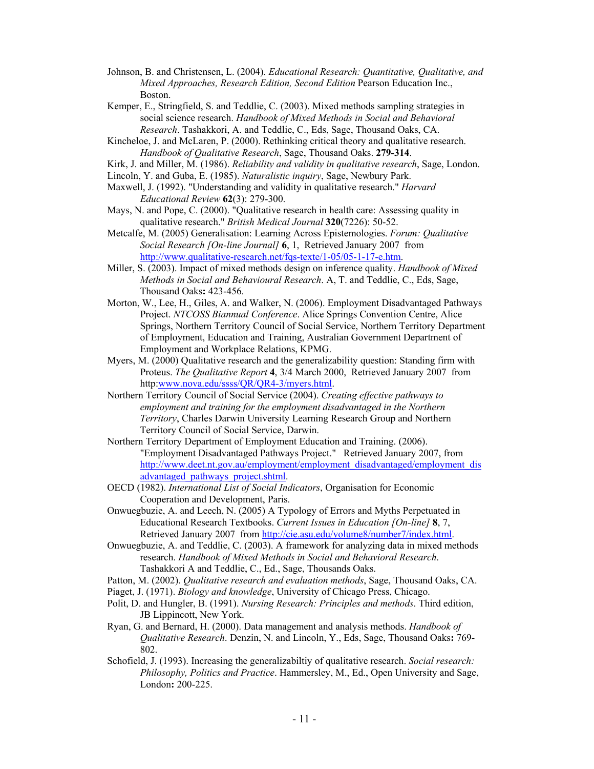- Johnson, B. and Christensen, L. (2004). *Educational Research: Quantitative, Qualitative, and Mixed Approaches, Research Edition, Second Edition* Pearson Education Inc., Boston.
- Kemper, E., Stringfield, S. and Teddlie, C. (2003). Mixed methods sampling strategies in social science research. *Handbook of Mixed Methods in Social and Behavioral Research*. Tashakkori, A. and Teddlie, C., Eds, Sage, Thousand Oaks, CA.
- Kincheloe, J. and McLaren, P. (2000). Rethinking critical theory and qualitative research. *Handbook of Qualitative Research*, Sage, Thousand Oaks. **279-314**.
- Kirk, J. and Miller, M. (1986). *Reliability and validity in qualitative research*, Sage, London.
- Lincoln, Y. and Guba, E. (1985). *Naturalistic inquiry*, Sage, Newbury Park.
- Maxwell, J. (1992). "Understanding and validity in qualitative research." *Harvard Educational Review* **62**(3): 279-300.
- Mays, N. and Pope, C. (2000). "Qualitative research in health care: Assessing quality in qualitative research." *British Medical Journal* **320**(7226): 50-52.
- Metcalfe, M. (2005) Generalisation: Learning Across Epistemologies. *Forum: Qualitative Social Research [On-line Journal]* **6**, 1, Retrieved January 2007 from http://www.qualitative-research.net/fqs-texte/1-05/05-1-17-e.htm.
- Miller, S. (2003). Impact of mixed methods design on inference quality. *Handbook of Mixed Methods in Social and Behavioural Research*. A, T. and Teddlie, C., Eds, Sage, Thousand Oaks**:** 423-456.
- Morton, W., Lee, H., Giles, A. and Walker, N. (2006). Employment Disadvantaged Pathways Project. *NTCOSS Biannual Conference*. Alice Springs Convention Centre, Alice Springs, Northern Territory Council of Social Service, Northern Territory Department of Employment, Education and Training, Australian Government Department of Employment and Workplace Relations, KPMG.
- Myers, M. (2000) Qualitative research and the generalizability question: Standing firm with Proteus. *The Qualitative Report* **4**, 3/4 March 2000, Retrieved January 2007 from http:www.nova.edu/ssss/QR/QR4-3/myers.html.
- Northern Territory Council of Social Service (2004). *Creating effective pathways to employment and training for the employment disadvantaged in the Northern Territory*, Charles Darwin University Learning Research Group and Northern Territory Council of Social Service, Darwin.
- Northern Territory Department of Employment Education and Training. (2006). "Employment Disadvantaged Pathways Project." Retrieved January 2007, from http://www.deet.nt.gov.au/employment/employment\_disadvantaged/employment\_dis advantaged\_pathways\_project.shtml.
- OECD (1982). *International List of Social Indicators*, Organisation for Economic Cooperation and Development, Paris.
- Onwuegbuzie, A. and Leech, N. (2005) A Typology of Errors and Myths Perpetuated in Educational Research Textbooks. *Current Issues in Education [On-line]* **8**, 7, Retrieved January 2007 from http://cie.asu.edu/volume8/number7/index.html.
- Onwuegbuzie, A. and Teddlie, C. (2003). A framework for analyzing data in mixed methods research. *Handbook of Mixed Methods in Social and Behavioral Research*. Tashakkori A and Teddlie, C., Ed., Sage, Thousands Oaks.
- Patton, M. (2002). *Qualitative research and evaluation methods*, Sage, Thousand Oaks, CA.
- Piaget, J. (1971). *Biology and knowledge*, University of Chicago Press, Chicago.
- Polit, D. and Hungler, B. (1991). *Nursing Research: Principles and methods*. Third edition, JB Lippincott, New York.
- Ryan, G. and Bernard, H. (2000). Data management and analysis methods. *Handbook of Qualitative Research*. Denzin, N. and Lincoln, Y., Eds, Sage, Thousand Oaks**:** 769- 802.
- Schofield, J. (1993). Increasing the generalizabiltiy of qualitative research. *Social research: Philosophy, Politics and Practice*. Hammersley, M., Ed., Open University and Sage, London**:** 200-225.